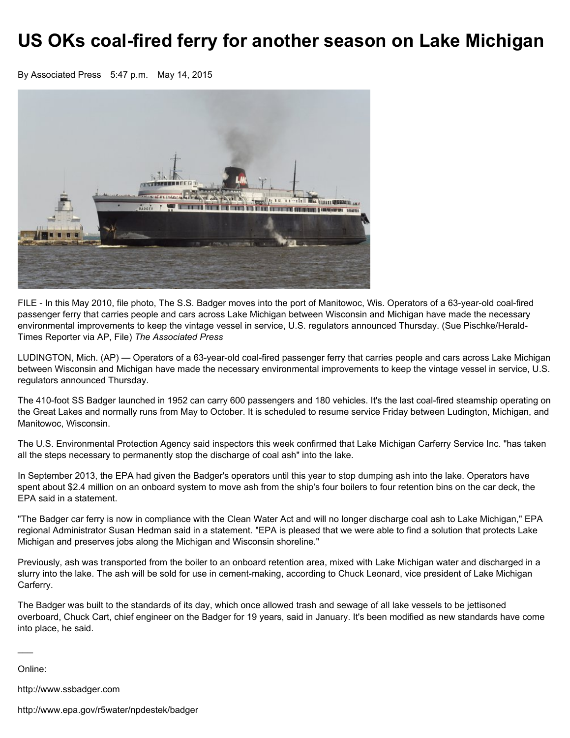## US OKs coal-fired ferry for another season on Lake Michigan

By Associated Press 5:47 p.m. May 14, 2015



FILE - In this May 2010, file photo, The S.S. Badger moves into the port of Manitowoc, Wis. Operators of a 63-year-old coal-fired passenger ferry that carries people and cars across Lake Michigan between Wisconsin and Michigan have made the necessary environmental improvements to keep the vintage vessel in service, U.S. regulators announced Thursday. (Sue Pischke/Herald-Times Reporter via AP, File) *The Associated Press*

LUDINGTON, Mich. (AP) — Operators of a 63-year-old coal-fired passenger ferry that carries people and cars across Lake Michigan between Wisconsin and Michigan have made the necessary environmental improvements to keep the vintage vessel in service, U.S. regulators announced Thursday.

The 410-foot SS Badger launched in 1952 can carry 600 passengers and 180 vehicles. It's the last coal-fired steamship operating on the Great Lakes and normally runs from May to October. It is scheduled to resume service Friday between Ludington, Michigan, and Manitowoc, Wisconsin.

The U.S. Environmental Protection Agency said inspectors this week confirmed that Lake Michigan Carferry Service Inc. "has taken all the steps necessary to permanently stop the discharge of coal ash" into the lake.

In September 2013, the EPA had given the Badger's operators until this year to stop dumping ash into the lake. Operators have spent about \$2.4 million on an onboard system to move ash from the ship's four boilers to four retention bins on the car deck, the EPA said in a statement.

"The Badger car ferry is now in compliance with the Clean Water Act and will no longer discharge coal ash to Lake Michigan," EPA regional Administrator Susan Hedman said in a statement. "EPA is pleased that we were able to find a solution that protects Lake Michigan and preserves jobs along the Michigan and Wisconsin shoreline."

Previously, ash was transported from the boiler to an onboard retention area, mixed with Lake Michigan water and discharged in a slurry into the lake. The ash will be sold for use in cement-making, according to Chuck Leonard, vice president of Lake Michigan Carferry.

The Badger was built to the standards of its day, which once allowed trash and sewage of all lake vessels to be jettisoned overboard, Chuck Cart, chief engineer on the Badger for 19 years, said in January. It's been modified as new standards have come into place, he said.

Online:

 $\overline{\phantom{a}}$ 

http://www.ssbadger.com